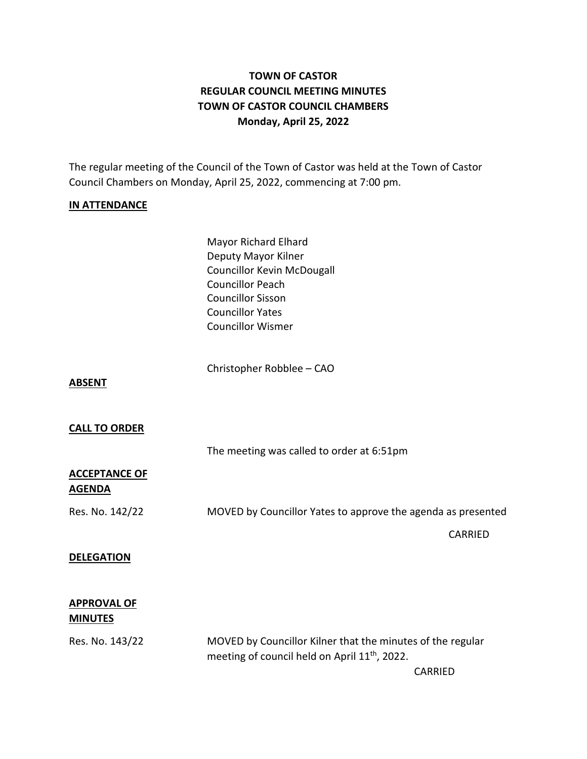# **TOWN OF CASTOR REGULAR COUNCIL MEETING MINUTES TOWN OF CASTOR COUNCIL CHAMBERS Monday, April 25, 2022**

The regular meeting of the Council of the Town of Castor was held at the Town of Castor Council Chambers on Monday, April 25, 2022, commencing at 7:00 pm.

#### **IN ATTENDANCE**

| <b>Mayor Richard Elhard</b>       |
|-----------------------------------|
| Deputy Mayor Kilner               |
| <b>Councillor Kevin McDougall</b> |
| <b>Councillor Peach</b>           |
| <b>Councillor Sisson</b>          |
| <b>Councillor Yates</b>           |
| <b>Councillor Wismer</b>          |
|                                   |

Christopher Robblee – CAO

**ABSENT**

#### **CALL TO ORDER**

The meeting was called to order at 6:51pm

## **ACCEPTANCE OF AGENDA**

Res. No. 142/22 MOVED by Councillor Yates to approve the agenda as presented

#### **DELEGATION**

## **APPROVAL OF MINUTES**

Res. No. 143/22 MOVED by Councillor Kilner that the minutes of the regular meeting of council held on April 11<sup>th</sup>, 2022.

CARRIED

CARRIED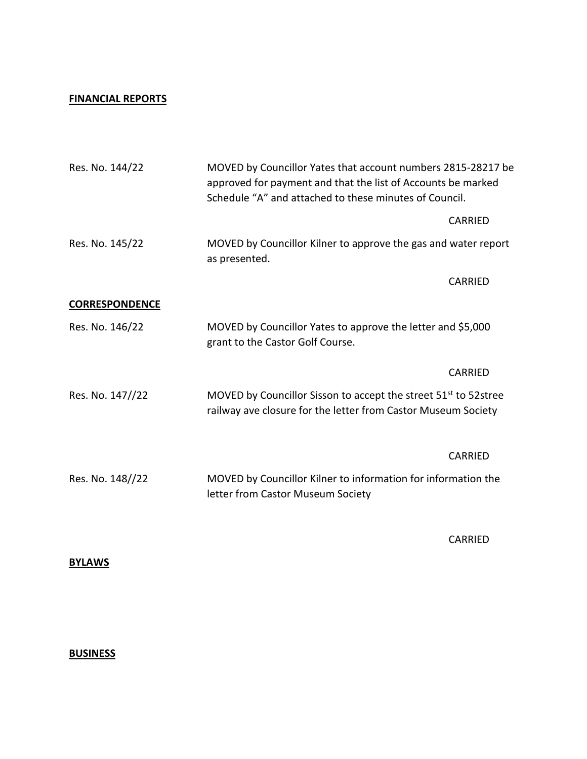#### **FINANCIAL REPORTS**

| Res. No. 144/22       | MOVED by Councillor Yates that account numbers 2815-28217 be<br>approved for payment and that the list of Accounts be marked<br>Schedule "A" and attached to these minutes of Council. |                |
|-----------------------|----------------------------------------------------------------------------------------------------------------------------------------------------------------------------------------|----------------|
|                       |                                                                                                                                                                                        | <b>CARRIED</b> |
| Res. No. 145/22       | MOVED by Councillor Kilner to approve the gas and water report<br>as presented.                                                                                                        |                |
|                       |                                                                                                                                                                                        | <b>CARRIED</b> |
| <b>CORRESPONDENCE</b> |                                                                                                                                                                                        |                |
| Res. No. 146/22       | MOVED by Councillor Yates to approve the letter and \$5,000<br>grant to the Castor Golf Course.                                                                                        |                |
|                       |                                                                                                                                                                                        | <b>CARRIED</b> |
| Res. No. 147//22      | MOVED by Councillor Sisson to accept the street 51 <sup>st</sup> to 52stree<br>railway ave closure for the letter from Castor Museum Society                                           |                |
|                       |                                                                                                                                                                                        | <b>CARRIED</b> |
| Res. No. 148//22      | MOVED by Councillor Kilner to information for information the<br>letter from Castor Museum Society                                                                                     |                |

CARRIED

**BYLAWS**

# **BUSINESS**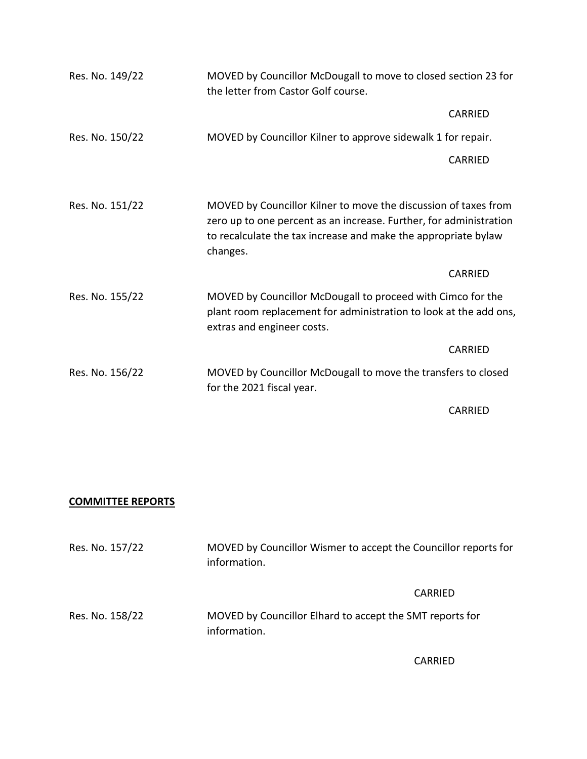| Res. No. 149/22 | MOVED by Councillor McDougall to move to closed section 23 for<br>the letter from Castor Golf course.                                                                                                               |
|-----------------|---------------------------------------------------------------------------------------------------------------------------------------------------------------------------------------------------------------------|
|                 | <b>CARRIED</b>                                                                                                                                                                                                      |
| Res. No. 150/22 | MOVED by Councillor Kilner to approve sidewalk 1 for repair.                                                                                                                                                        |
|                 | <b>CARRIED</b>                                                                                                                                                                                                      |
|                 |                                                                                                                                                                                                                     |
| Res. No. 151/22 | MOVED by Councillor Kilner to move the discussion of taxes from<br>zero up to one percent as an increase. Further, for administration<br>to recalculate the tax increase and make the appropriate bylaw<br>changes. |
|                 | CARRIED                                                                                                                                                                                                             |
| Res. No. 155/22 | MOVED by Councillor McDougall to proceed with Cimco for the<br>plant room replacement for administration to look at the add ons,<br>extras and engineer costs.                                                      |
|                 | <b>CARRIED</b>                                                                                                                                                                                                      |
| Res. No. 156/22 | MOVED by Councillor McDougall to move the transfers to closed<br>for the 2021 fiscal year.                                                                                                                          |
|                 |                                                                                                                                                                                                                     |

CARRIED

## **COMMITTEE REPORTS**

| Res. No. 157/22 | MOVED by Councillor Wismer to accept the Councillor reports for<br>information. |  |
|-----------------|---------------------------------------------------------------------------------|--|
|                 | CARRIED                                                                         |  |
| Res. No. 158/22 | MOVED by Councillor Elhard to accept the SMT reports for<br>information.        |  |

CARRIED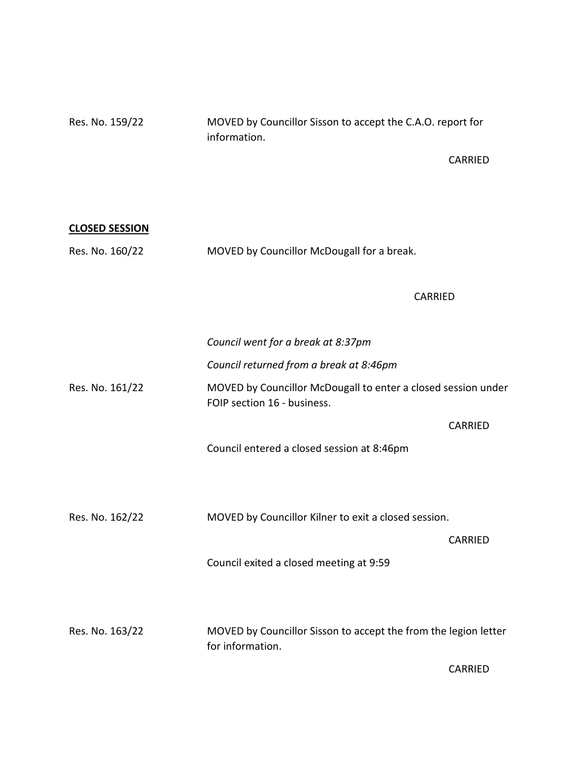Res. No. 159/22 MOVED by Councillor Sisson to accept the C.A.O. report for information.

CARRIED

| <b>CLOSED SESSION</b> |                                                                                              |                |
|-----------------------|----------------------------------------------------------------------------------------------|----------------|
| Res. No. 160/22       | MOVED by Councillor McDougall for a break.                                                   |                |
|                       | <b>CARRIED</b>                                                                               |                |
|                       | Council went for a break at 8:37pm                                                           |                |
|                       | Council returned from a break at 8:46pm                                                      |                |
| Res. No. 161/22       | MOVED by Councillor McDougall to enter a closed session under<br>FOIP section 16 - business. |                |
|                       |                                                                                              | CARRIED        |
|                       | Council entered a closed session at 8:46pm                                                   |                |
|                       |                                                                                              |                |
| Res. No. 162/22       | MOVED by Councillor Kilner to exit a closed session.                                         |                |
|                       |                                                                                              | <b>CARRIED</b> |
|                       | Council exited a closed meeting at 9:59                                                      |                |
|                       |                                                                                              |                |
| Res. No. 163/22       | MOVED by Councillor Sisson to accept the from the legion letter<br>for information.          |                |
|                       |                                                                                              | <b>CARRIED</b> |